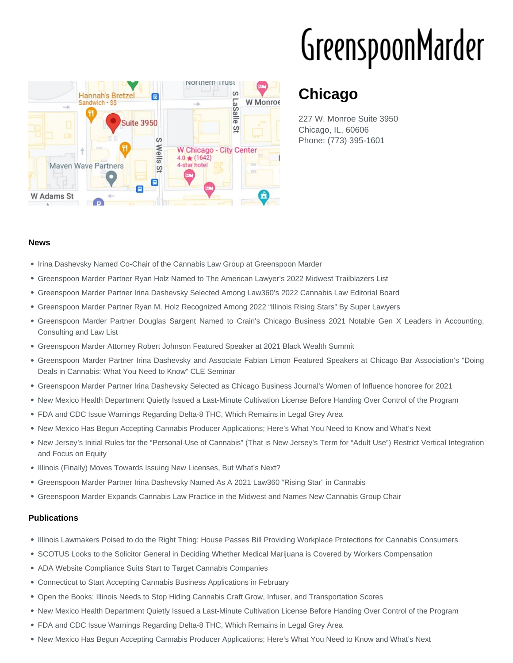# GreenspoonMarder



## **Chicago**

227 W. Monroe Suite 3950 Chicago, IL, 60606 Phone: (773) 395-1601

#### **News**

- Irina Dashevsky Named Co-Chair of the Cannabis Law Group at Greenspoon Marder
- Greenspoon Marder Partner Ryan Holz Named to The American Lawyer's 2022 Midwest Trailblazers List
- Greenspoon Marder Partner Irina Dashevsky Selected Among Law360's 2022 Cannabis Law Editorial Board
- Greenspoon Marder Partner Ryan M. Holz Recognized Among 2022 "Illinois Rising Stars" By Super Lawyers
- Greenspoon Marder Partner Douglas Sargent Named to Crain's Chicago Business 2021 Notable Gen X Leaders in Accounting, Consulting and Law List
- Greenspoon Marder Attorney Robert Johnson Featured Speaker at 2021 Black Wealth Summit
- Greenspoon Marder Partner Irina Dashevsky and Associate Fabian Limon Featured Speakers at Chicago Bar Association's "Doing Deals in Cannabis: What You Need to Know" CLE Seminar
- Greenspoon Marder Partner Irina Dashevsky Selected as Chicago Business Journal's Women of Influence honoree for 2021
- . New Mexico Health Department Quietly Issued a Last-Minute Cultivation License Before Handing Over Control of the Program
- FDA and CDC Issue Warnings Regarding Delta-8 THC, Which Remains in Legal Grey Area
- New Mexico Has Begun Accepting Cannabis Producer Applications; Here's What You Need to Know and What's Next
- New Jersey's Initial Rules for the "Personal-Use of Cannabis" (That is New Jersey's Term for "Adult Use") Restrict Vertical Integration and Focus on Equity
- Illinois (Finally) Moves Towards Issuing New Licenses, But What's Next?
- Greenspoon Marder Partner Irina Dashevsky Named As A 2021 Law360 "Rising Star" in Cannabis
- Greenspoon Marder Expands Cannabis Law Practice in the Midwest and Names New Cannabis Group Chair

#### **Publications**

- Illinois Lawmakers Poised to do the Right Thing: House Passes Bill Providing Workplace Protections for Cannabis Consumers
- SCOTUS Looks to the Solicitor General in Deciding Whether Medical Marijuana is Covered by Workers Compensation
- ADA Website Compliance Suits Start to Target Cannabis Companies
- Connecticut to Start Accepting Cannabis Business Applications in February
- Open the Books; Illinois Needs to Stop Hiding Cannabis Craft Grow, Infuser, and Transportation Scores
- New Mexico Health Department Quietly Issued a Last-Minute Cultivation License Before Handing Over Control of the Program
- FDA and CDC Issue Warnings Regarding Delta-8 THC, Which Remains in Legal Grey Area
- New Mexico Has Begun Accepting Cannabis Producer Applications; Here's What You Need to Know and What's Next